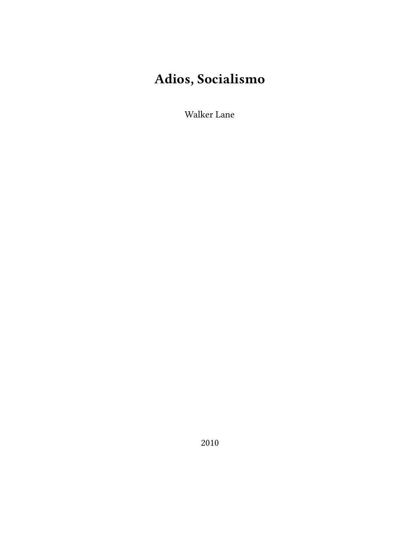# **Adios, Socialismo**

Walker Lane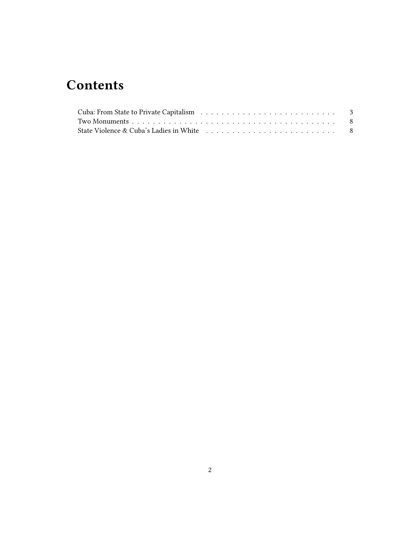## **Contents**

| State Violence & Cuba's Ladies in White $\ldots \ldots \ldots \ldots \ldots \ldots \ldots \ldots \ldots$ |  |
|----------------------------------------------------------------------------------------------------------|--|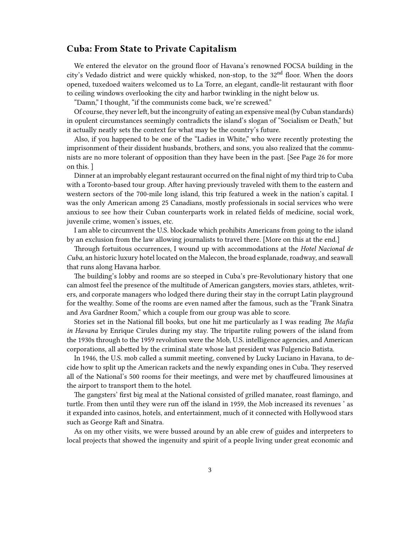#### <span id="page-2-0"></span>**Cuba: From State to Private Capitalism**

We entered the elevator on the ground floor of Havana's renowned FOCSA building in the city's Vedado district and were quickly whisked, non-stop, to the 32nd floor. When the doors opened, tuxedoed waiters welcomed us to La Torre, an elegant, candle-lit restaurant with floor to ceiling windows overlooking the city and harbor twinkling in the night below us.

"Damn," I thought, "if the communists come back, we're screwed."

Of course, they never left, but the incongruity of eating an expensive meal (by Cuban standards) in opulent circumstances seemingly contradicts the island's slogan of "Socialism or Death," but it actually neatly sets the context for what may be the country's future.

Also, if you happened to be one of the "Ladies in White," who were recently protesting the imprisonment of their dissident husbands, brothers, and sons, you also realized that the communists are no more tolerant of opposition than they have been in the past. [See Page 26 for more on this. ]

Dinner at an improbably elegant restaurant occurred on the final night of my third trip to Cuba with a Toronto-based tour group. After having previously traveled with them to the eastern and western sectors of the 700-mile long island, this trip featured a week in the nation's capital. I was the only American among 25 Canadians, mostly professionals in social services who were anxious to see how their Cuban counterparts work in related fields of medicine, social work, juvenile crime, women's issues, etc.

I am able to circumvent the U.S. blockade which prohibits Americans from going to the island by an exclusion from the law allowing journalists to travel there. [More on this at the end.]

Through fortuitous occurrences, I wound up with accommodations at the *Hotel Nacional de Cuba*, an historic luxury hotel located on the Malecon, the broad esplanade, roadway, and seawall that runs along Havana harbor.

The building's lobby and rooms are so steeped in Cuba's pre-Revolutionary history that one can almost feel the presence of the multitude of American gangsters, movies stars, athletes, writers, and corporate managers who lodged there during their stay in the corrupt Latin playground for the wealthy. Some of the rooms are even named after the famous, such as the "Frank Sinatra and Ava Gardner Room," which a couple from our group was able to score.

Stories set in the National fill books, but one hit me particularly as I was reading *The Mafia in Havana* by Enrique Cirules during my stay. The tripartite ruling powers of the island from the 1930s through to the 1959 revolution were the Mob, U.S. intelligence agencies, and American corporations, all abetted by the criminal state whose last president was Fulgencio Batista.

In 1946, the U.S. mob called a summit meeting, convened by Lucky Luciano in Havana, to decide how to split up the American rackets and the newly expanding ones in Cuba. They reserved all of the National's 500 rooms for their meetings, and were met by chauffeured limousines at the airport to transport them to the hotel.

The gangsters' first big meal at the National consisted of grilled manatee, roast flamingo, and turtle. From then until they were run off the island in 1959, the Mob increased its revenues ' as it expanded into casinos, hotels, and entertainment, much of it connected with Hollywood stars such as George Raft and Sinatra.

As on my other visits, we were bussed around by an able crew of guides and interpreters to local projects that showed the ingenuity and spirit of a people living under great economic and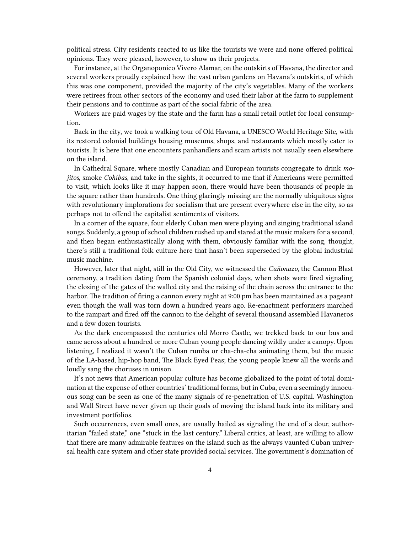political stress. City residents reacted to us like the tourists we were and none offered political opinions. They were pleased, however, to show us their projects.

For instance, at the Organoponico Vivero Alamar, on the outskirts of Havana, the director and several workers proudly explained how the vast urban gardens on Havana's outskirts, of which this was one component, provided the majority of the city's vegetables. Many of the workers were retirees from other sectors of the economy and used their labor at the farm to supplement their pensions and to continue as part of the social fabric of the area.

Workers are paid wages by the state and the farm has a small retail outlet for local consumption.

Back in the city, we took a walking tour of Old Havana, a UNESCO World Heritage Site, with its restored colonial buildings housing museums, shops, and restaurants which mostly cater to tourists. It is here that one encounters panhandlers and scam artists not usually seen elsewhere on the island.

In Cathedral Square, where mostly Canadian and European tourists congregate to drink *mojitos*, smoke *Cohibas*, and take in the sights, it occurred to me that if Americans were permitted to visit, which looks like it may happen soon, there would have been thousands of people in the square rather than hundreds. One thing glaringly missing are the normally ubiquitous signs with revolutionary implorations for socialism that are present everywhere else in the city, so as perhaps not to offend the capitalist sentiments of visitors.

In a corner of the square, four elderly Cuban men were playing and singing traditional island songs. Suddenly, a group of school children rushed up and stared at the music makers for a second, and then began enthusiastically along with them, obviously familiar with the song, thought, there's still a traditional folk culture here that hasn't been superseded by the global industrial music machine.

However, later that night, still in the Old City, we witnessed the *Cañonazo*, the Cannon Blast ceremony, a tradition dating from the Spanish colonial days, when shots were fired signaling the closing of the gates of the walled city and the raising of the chain across the entrance to the harbor. The tradition of firing a cannon every night at 9:00 pm has been maintained as a pageant even though the wall was torn down a hundred years ago. Re-enactment performers marched to the rampart and fired off the cannon to the delight of several thousand assembled Havaneros and a few dozen tourists.

As the dark encompassed the centuries old Morro Castle, we trekked back to our bus and came across about a hundred or more Cuban young people dancing wildly under a canopy. Upon listening, I realized it wasn't the Cuban rumba or cha-cha-cha animating them, but the music of the LA-based, hip-hop band, The Black Eyed Peas; the young people knew all the words and loudly sang the choruses in unison.

It's not news that American popular culture has become globalized to the point of total domination at the expense of other countries' traditional forms, but in Cuba, even a seemingly innocuous song can be seen as one of the many signals of re-penetration of U.S. capital. Washington and Wall Street have never given up their goals of moving the island back into its military and investment portfolios.

Such occurrences, even small ones, are usually hailed as signaling the end of a dour, authoritarian "failed state," one "stuck in the last century." Liberal critics, at least, are willing to allow that there are many admirable features on the island such as the always vaunted Cuban universal health care system and other state provided social services. The government's domination of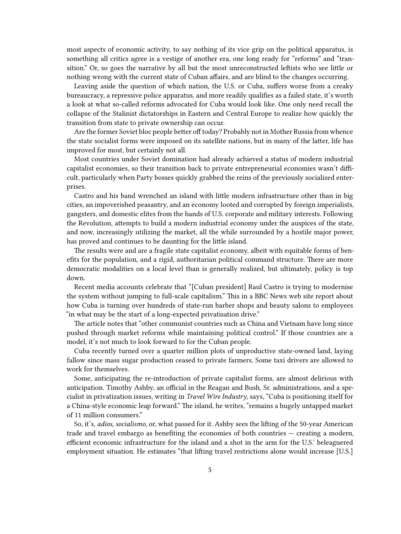most aspects of economic activity, to say nothing of its vice grip on the political apparatus, is something all critics agree is a vestige of another era, one long ready for "reforms" and "transition." Or, so goes the narrative by all but the most unreconstructed leftists who see little or nothing wrong with the current state of Cuban affairs, and are blind to the changes occurring.

Leaving aside the question of which nation, the U.S. or Cuba, suffers worse from a creaky bureaucracy, a repressive police apparatus, and more readily qualifies as a failed state, it's worth a look at what so-called reforms advocated for Cuba would look like. One only need recall the collapse of the Stalinist dictatorships in Eastern and Central Europe to realize how quickly the transition from state to private ownership can occur.

Are the former Soviet bloc people better off today? Probably not in Mother Russia from whence the state socialist forms were imposed on its satellite nations, but in many of the latter, life has improved for most, but certainly not all.

Most countries under Soviet domination had already achieved a status of modern industrial capitalist economies, so their transition back to private entrepreneurial economies wasn't difficult, particularly when Party bosses quickly grabbed the reins of the previously socialized enterprises.

Castro and his band wrenched an island with little modern infrastructure other than in big cities, an impoverished peasantry, and an economy looted and corrupted by foreign imperialists, gangsters, and domestic elites from the hands of U.S. corporate and military interests. Following the Revolution, attempts to build a modern industrial economy under the auspices of the state, and now, increasingly utilizing the market, all the while surrounded by a hostile major power, has proved and continues to be daunting for the little island.

The results were and are a fragile state capitalist economy, albeit with equitable forms of benefits for the population, and a rigid, authoritarian political command structure. There are more democratic modalities on a local level than is generally realized, but ultimately, policy is top down.

Recent media accounts celebrate that "[Cuban president] Raul Castro is trying to modernise the system without jumping to full-scale capitalism." This in a BBC News web site report about how Cuba is turning over hundreds of state-run barber shops and beauty salons to employees "in what may be the start of a long-expected privatisation drive."

The article notes that "other communist countries such as China and Vietnam have long since pushed through market reforms while maintaining political control." If those countries are a model, it's not much to look forward to for the Cuban people.

Cuba recently turned over a quarter million plots of unproductive state-owned land, laying fallow since mass sugar production ceased to private farmers. Some taxi drivers are allowed to work for themselves.

Some, anticipating the re-introduction of private capitalist forms, are almost delirious with anticipation. Timothy Ashby, an official in the Reagan and Bush, Sr. administrations, and a specialist in privatization issues, writing in *Travel Wire Industry*, says, "Cuba is positioning itself for a China-style economic leap forward." The island, he writes, "remains a hugely untapped market of 11 million consumers."

So, it's, *adios, socialismo*, or, what passed for it. Ashby sees the lifting of the 50-year American trade and travel embargo as benefiting the economies of both countries — creating a modern, efficient economic infrastructure for the island and a shot in the arm for the U.S.' beleaguered employment situation. He estimates "that lifting travel restrictions alone would increase [U.S.]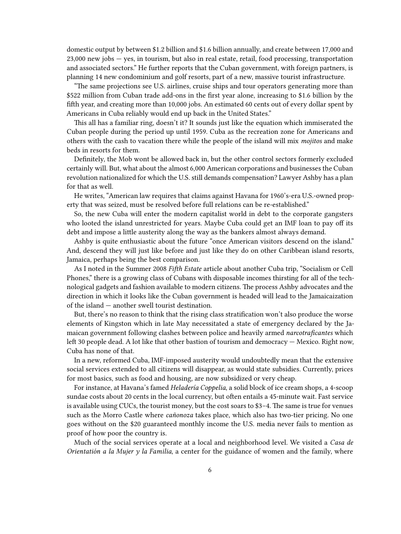domestic output by between \$1.2 billion and \$1.6 billion annually, and create between 17,000 and 23,000 new jobs — yes, in tourism, but also in real estate, retail, food processing, transportation and associated sectors." He further reports that the Cuban government, with foreign partners, is planning 14 new condominium and golf resorts, part of a new, massive tourist infrastructure.

"The same projections see U.S. airlines, cruise ships and tour operators generating more than \$522 million from Cuban trade add-ons in the first year alone, increasing to \$1.6 billion by the fifth year, and creating more than 10,000 jobs. An estimated 60 cents out of every dollar spent by Americans in Cuba reliably would end up back in the United States."

This all has a familiar ring, doesn't it? It sounds just like the equation which immiserated the Cuban people during the period up until 1959. Cuba as the recreation zone for Americans and others with the cash to vacation there while the people of the island will mix *mojitos* and make beds in resorts for them.

Definitely, the Mob wont be allowed back in, but the other control sectors formerly excluded certainly will. But, what about the almost 6,000 American corporations and businesses the Cuban revolution nationalized for which the U.S. still demands compensation? Lawyer Ashby has a plan for that as well.

He writes, "American law requires that claims against Havana for 1960's-era U.S.-owned property that was seized, must be resolved before full relations can be re-established."

So, the new Cuba will enter the modern capitalist world in debt to the corporate gangsters who looted the island unrestricted for years. Maybe Cuba could get an IMF loan to pay off its debt and impose a little austerity along the way as the bankers almost always demand.

Ashby is quite enthusiastic about the future "once American visitors descend on the island." And, descend they will just like before and just like they do on other Caribbean island resorts, Jamaica, perhaps being the best comparison.

As I noted in the Summer 2008 *Fifth Estate* article about another Cuba trip, "Socialism or Cell Phones," there is a growing class of Cubans with disposable incomes thirsting for all of the technological gadgets and fashion available to modern citizens. The process Ashby advocates and the direction in which it looks like the Cuban government is headed will lead to the Jamaicaization of the island — another swell tourist destination.

But, there's no reason to think that the rising class stratification won't also produce the worse elements of Kingston which in late May necessitated a state of emergency declared by the Jamaican government following clashes between police and heavily armed *narcotraficantes* which left 30 people dead. A lot like that other bastion of tourism and democracy — Mexico. Right now, Cuba has none of that.

In a new, reformed Cuba, IMF-imposed austerity would undoubtedly mean that the extensive social services extended to all citizens will disappear, as would state subsidies. Currently, prices for most basics, such as food and housing, are now subsidized or very cheap.

For instance, at Havana's famed *Heladería Coppelia*, a solid block of ice cream shops, a 4-scoop sundae costs about 20 cents in the local currency, but often entails a 45-minute wait. Fast service is available using CUCs, the tourist money, but the cost soars to \$3–4. The same is true for venues such as the Morro Castle where *cañonoza* takes place, which also has two-tier pricing. No one goes without on the \$20 guaranteed monthly income the U.S. media never fails to mention as proof of how poor the country is.

Much of the social services operate at a local and neighborhood level. We visited a *Casa de Orientatión a la Mujer y la Familia*, a center for the guidance of women and the family, where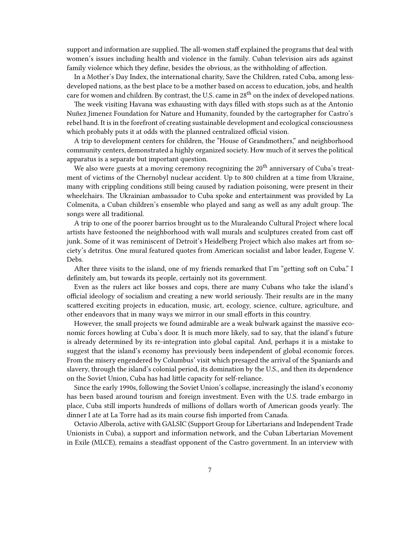support and information are supplied. The all-women staff explained the programs that deal with women's issues including health and violence in the family. Cuban television airs ads against family violence which they define, besides the obvious, as the withholding of affection.

In a Mother's Day Index, the international charity, Save the Children, rated Cuba, among lessdeveloped nations, as the best place to be a mother based on access to education, jobs, and health care for women and children. By contrast, the U.S. came in 28<sup>th</sup> on the index of developed nations.

The week visiting Havana was exhausting with days filled with stops such as at the Antonio Nuñez Jimenez Foundation for Nature and Humanity, founded by the cartographer for Castro's rebel band. It is in the forefront of creating sustainable development and ecological consciousness which probably puts it at odds with the planned centralized official vision.

A trip to development centers for children, the "House of Grandmothers," and neighborhood community centers, demonstrated a highly organized society. How much of it serves the political apparatus is a separate but important question.

We also were guests at a moving ceremony recognizing the 20<sup>th</sup> anniversary of Cuba's treatment of victims of the Chernobyl nuclear accident. Up to 800 children at a time from Ukraine, many with crippling conditions still being caused by radiation poisoning, were present in their wheelchairs. The Ukrainian ambassador to Cuba spoke and entertainment was provided by La Colmenita, a Cuban children's ensemble who played and sang as well as any adult group. The songs were all traditional.

A trip to one of the poorer barrios brought us to the Muraleando Cultural Project where local artists have festooned the neighborhood with wall murals and sculptures created from cast off junk. Some of it was reminiscent of Detroit's Heidelberg Project which also makes art from society's detritus. One mural featured quotes from American socialist and labor leader, Eugene V. Debs.

After three visits to the island, one of my friends remarked that I'm "getting soft on Cuba." I definitely am, but towards its people, certainly not its government.

Even as the rulers act like bosses and cops, there are many Cubans who take the island's official ideology of socialism and creating a new world seriously. Their results are in the many scattered exciting projects in education, music, art, ecology, science, culture, agriculture, and other endeavors that in many ways we mirror in our small efforts in this country.

However, the small projects we found admirable are a weak bulwark against the massive economic forces howling at Cuba's door. It is much more likely, sad to say, that the island's future is already determined by its re-integration into global capital. And, perhaps it is a mistake to suggest that the island's economy has previously been independent of global economic forces. From the misery engendered by Columbus' visit which presaged the arrival of the Spaniards and slavery, through the island's colonial period, its domination by the U.S., and then its dependence on the Soviet Union, Cuba has had little capacity for self-reliance.

Since the early 1990s, following the Soviet Union's collapse, increasingly the island's economy has been based around tourism and foreign investment. Even with the U.S. trade embargo in place, Cuba still imports hundreds of millions of dollars worth of American goods yearly. The dinner I ate at La Torre had as its main course fish imported from Canada.

Octavio Alberola, active with GALSIC (Support Group for Libertarians and Independent Trade Unionists in Cuba), a support and information network, and the Cuban Libertarian Movement in Exile (MLCE), remains a steadfast opponent of the Castro government. In an interview with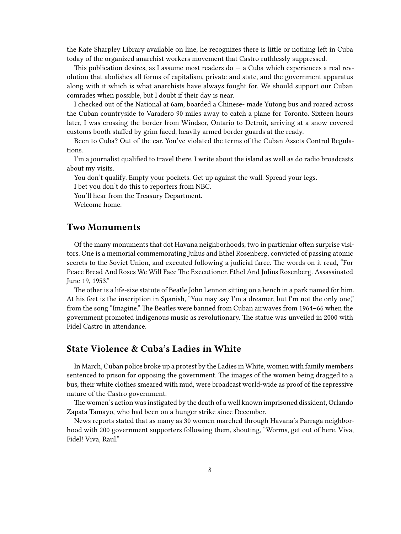the Kate Sharpley Library available on line, he recognizes there is little or nothing left in Cuba today of the organized anarchist workers movement that Castro ruthlessly suppressed.

This publication desires, as I assume most readers do  $-$  a Cuba which experiences a real revolution that abolishes all forms of capitalism, private and state, and the government apparatus along with it which is what anarchists have always fought for. We should support our Cuban comrades when possible, but I doubt if their day is near.

I checked out of the National at 6am, boarded a Chinese- made Yutong bus and roared across the Cuban countryside to Varadero 90 miles away to catch a plane for Toronto. Sixteen hours later, I was crossing the border from Windsor, Ontario to Detroit, arriving at a snow covered customs booth staffed by grim faced, heavily armed border guards at the ready.

Been to Cuba? Out of the car. You've violated the terms of the Cuban Assets Control Regulations.

I'm a journalist qualified to travel there. I write about the island as well as do radio broadcasts about my visits.

You don't qualify. Empty your pockets. Get up against the wall. Spread your legs.

I bet you don't do this to reporters from NBC.

You'll hear from the Treasury Department.

Welcome home.

#### <span id="page-7-0"></span>**Two Monuments**

Of the many monuments that dot Havana neighborhoods, two in particular often surprise visitors. One is a memorial commemorating Julius and Ethel Rosenberg, convicted of passing atomic secrets to the Soviet Union, and executed following a judicial farce. The words on it read, "For Peace Bread And Roses We Will Face The Executioner. Ethel And Julius Rosenberg. Assassinated June 19, 1953."

The other is a life-size statute of Beatle John Lennon sitting on a bench in a park named for him. At his feet is the inscription in Spanish, "You may say I'm a dreamer, but I'm not the only one," from the song "Imagine." The Beatles were banned from Cuban airwaves from 1964–66 when the government promoted indigenous music as revolutionary. The statue was unveiled in 2000 with Fidel Castro in attendance.

#### <span id="page-7-1"></span>**State Violence & Cuba's Ladies in White**

In March, Cuban police broke up a protest by the Ladies in White, women with family members sentenced to prison for opposing the government. The images of the women being dragged to a bus, their white clothes smeared with mud, were broadcast world-wide as proof of the repressive nature of the Castro government.

The women's action was instigated by the death of a well known imprisoned dissident, Orlando Zapata Tamayo, who had been on a hunger strike since December.

News reports stated that as many as 30 women marched through Havana's Parraga neighborhood with 200 government supporters following them, shouting, "Worms, get out of here. Viva, Fidel! Viva, Raul."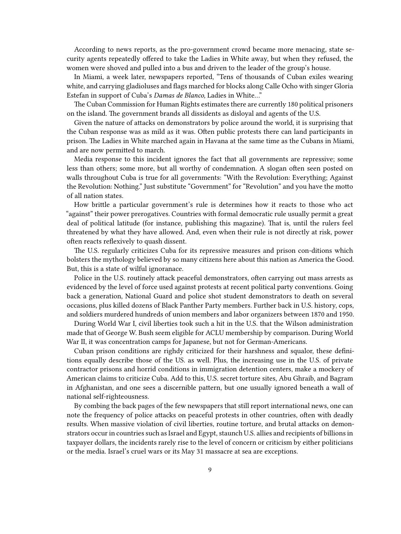According to news reports, as the pro-government crowd became more menacing, state security agents repeatedly offered to take the Ladies in White away, but when they refused, the women were shoved and pulled into a bus and driven to the leader of the group's house.

In Miami, a week later, newspapers reported, "Tens of thousands of Cuban exiles wearing white, and carrying gladioluses and flags marched for blocks along Calle Ocho with singer Gloria Estefan in support of Cuba's *Damas de Blanco,* Ladies in White…"

The Cuban Commission for Human Rights estimates there are currently 180 political prisoners on the island. The government brands all dissidents as disloyal and agents of the U.S.

Given the nature of attacks on demonstrators by police around the world, it is surprising that the Cuban response was as mild as it was. Often public protests there can land participants in prison. The Ladies in White marched again in Havana at the same time as the Cubans in Miami, and are now permitted to march.

Media response to this incident ignores the fact that all governments are repressive; some less than others; some more, but all worthy of condemnation. A slogan often seen posted on walls throughout Cuba is true for all governments: "With the Revolution: Everything; Against the Revolution: Nothing." Just substitute "Government" for "Revolution" and you have the motto of all nation states.

How brittle a particular government's rule is determines how it reacts to those who act "against" their power prerogatives. Countries with formal democratic rule usually permit a great deal of political latitude (for instance, publishing this magazine). That is, until the rulers feel threatened by what they have allowed. And, even when their rule is not directly at risk, power often reacts reflexively to quash dissent.

The U.S. regularly criticizes Cuba for its repressive measures and prison con-ditions which bolsters the mythology believed by so many citizens here about this nation as America the Good. But, this is a state of wilful ignoranace.

Police in the U.S. routinely attack peaceful demonstrators, often carrying out mass arrests as evidenced by the level of force used against protests at recent political party conventions. Going back a generation, National Guard and police shot student demonstrators to death on several occasions, plus killed dozens of Black Panther Party members. Further back in U.S. history, cops, and soldiers murdered hundreds of union members and labor organizers between 1870 and 1950.

During World War I, civil liberties took such a hit in the U.S. that the Wilson administration made that of George W. Bush seem eligible for ACLU membership by comparison. During World War II, it was concentration camps for Japanese, but not for German-Americans.

Cuban prison conditions are righdy criticized for their harshness and squalor, these definitions equally describe those of the US. as well. Plus, the increasing use in the U.S. of private contractor prisons and horrid conditions in immigration detention centers, make a mockery of American claims to criticize Cuba. Add to this, U.S. secret torture sites, Abu Ghraib, and Bagram in Afghanistan, and one sees a discernible pattern, but one usually ignored beneath a wall of national self-righteousness.

By combing the back pages of the few newspapers that still report international news, one can note the frequency of police attacks on peaceful protests in other countries, often with deadly results. When massive violation of civil liberties, routine torture, and brutal attacks on demonstrators occur in countries such as Israel and Egypt, staunch U.S. allies and recipients of billions in taxpayer dollars, the incidents rarely rise to the level of concern or criticism by either politicians or the media. Israel's cruel wars or its May 31 massacre at sea are exceptions.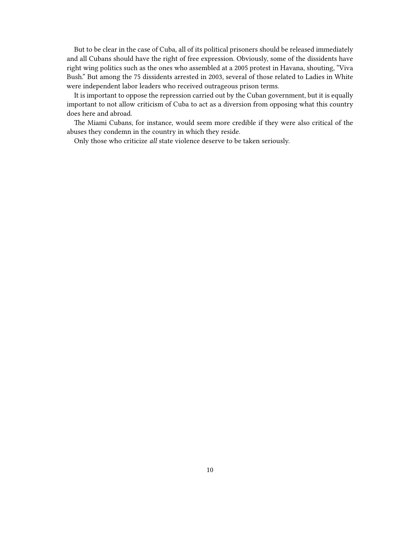But to be clear in the case of Cuba, all of its political prisoners should be released immediately and all Cubans should have the right of free expression. Obviously, some of the dissidents have right wing politics such as the ones who assembled at a 2005 protest in Havana, shouting, "Viva Bush." But among the 75 dissidents arrested in 2003, several of those related to Ladies in White were independent labor leaders who received outrageous prison terms.

It is important to oppose the repression carried out by the Cuban government, but it is equally important to not allow criticism of Cuba to act as a diversion from opposing what this country does here and abroad.

The Miami Cubans, for instance, would seem more credible if they were also critical of the abuses they condemn in the country in which they reside.

Only those who criticize *all* state violence deserve to be taken seriously.